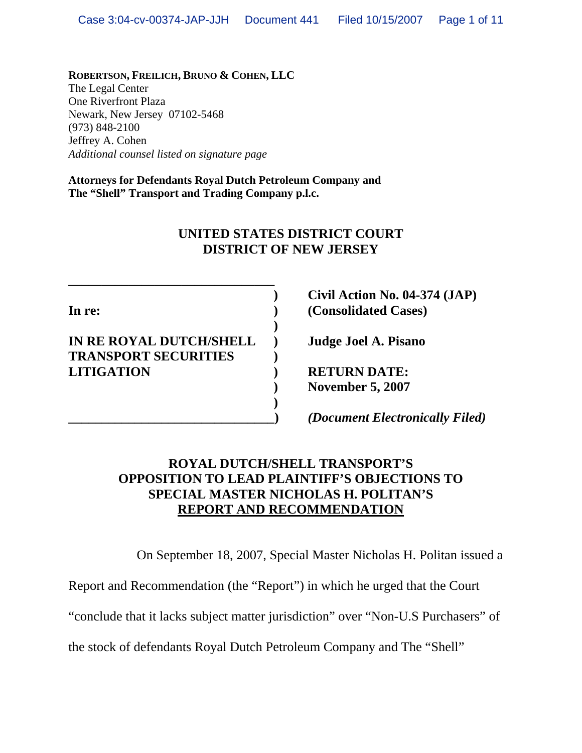**ROBERTSON, FREILICH, BRUNO & COHEN, LLC** The Legal Center One Riverfront Plaza Newark, New Jersey 07102-5468 (973) 848-2100 Jeffrey A. Cohen *Additional counsel listed on signature page*

**Attorneys for Defendants Royal Dutch Petroleum Company and The "Shell" Transport and Trading Company p.l.c.**

# **UNITED STATES DISTRICT COURT DISTRICT OF NEW JERSEY**

## **IN RE ROYAL DUTCH/SHELL ) Judge Joel A. Pisano TRANSPORT SECURITIES ) LITIGATION ) RETURN DATE:**

**\_\_\_\_\_\_\_\_\_\_\_\_\_\_\_\_\_\_\_\_\_\_\_\_\_\_\_\_\_\_\_** 

 **)** 

 **)** 

 **) Civil Action No. 04-374 (JAP) In re: ) (Consolidated Cases)** 

 **) November 5, 2007** 

**\_\_\_\_\_\_\_\_\_\_\_\_\_\_\_\_\_\_\_\_\_\_\_\_\_\_\_\_\_\_\_)** *(Document Electronically Filed)*

# **ROYAL DUTCH/SHELL TRANSPORT'S OPPOSITION TO LEAD PLAINTIFF'S OBJECTIONS TO SPECIAL MASTER NICHOLAS H. POLITAN'S REPORT AND RECOMMENDATION**

On September 18, 2007, Special Master Nicholas H. Politan issued a

Report and Recommendation (the "Report") in which he urged that the Court

"conclude that it lacks subject matter jurisdiction" over "Non-U.S Purchasers" of

the stock of defendants Royal Dutch Petroleum Company and The "Shell"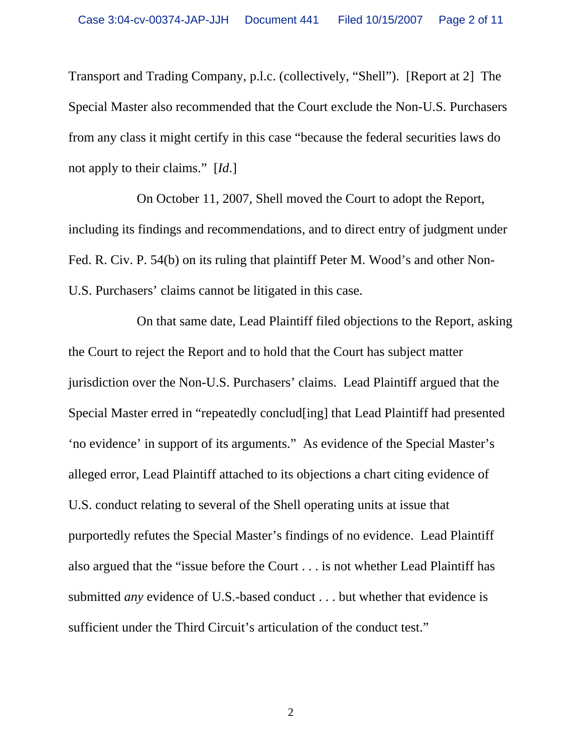Transport and Trading Company, p.l.c. (collectively, "Shell"). [Report at 2] The Special Master also recommended that the Court exclude the Non-U.S. Purchasers from any class it might certify in this case "because the federal securities laws do not apply to their claims." [*Id*.]

On October 11, 2007, Shell moved the Court to adopt the Report, including its findings and recommendations, and to direct entry of judgment under Fed. R. Civ. P. 54(b) on its ruling that plaintiff Peter M. Wood's and other Non-U.S. Purchasers' claims cannot be litigated in this case.

On that same date, Lead Plaintiff filed objections to the Report, asking the Court to reject the Report and to hold that the Court has subject matter jurisdiction over the Non-U.S. Purchasers' claims. Lead Plaintiff argued that the Special Master erred in "repeatedly conclud[ing] that Lead Plaintiff had presented 'no evidence' in support of its arguments." As evidence of the Special Master's alleged error, Lead Plaintiff attached to its objections a chart citing evidence of U.S. conduct relating to several of the Shell operating units at issue that purportedly refutes the Special Master's findings of no evidence. Lead Plaintiff also argued that the "issue before the Court . . . is not whether Lead Plaintiff has submitted *any* evidence of U.S.-based conduct . . . but whether that evidence is sufficient under the Third Circuit's articulation of the conduct test."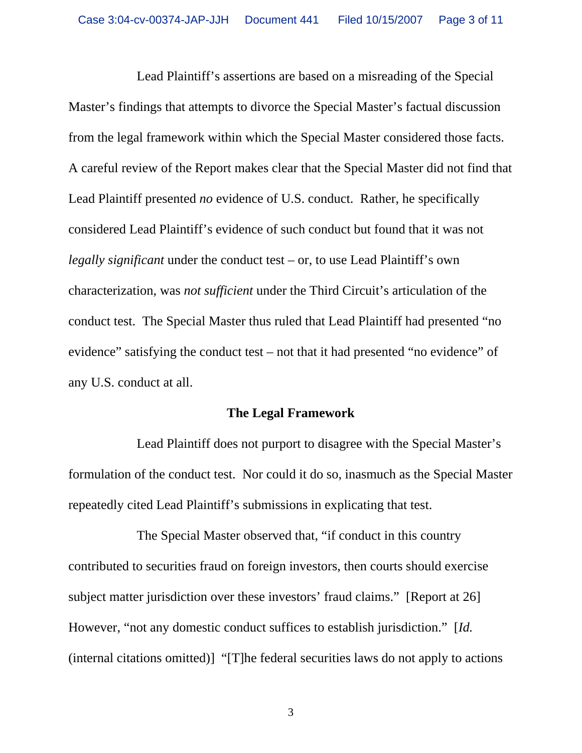Lead Plaintiff's assertions are based on a misreading of the Special Master's findings that attempts to divorce the Special Master's factual discussion from the legal framework within which the Special Master considered those facts. A careful review of the Report makes clear that the Special Master did not find that Lead Plaintiff presented *no* evidence of U.S. conduct. Rather, he specifically considered Lead Plaintiff's evidence of such conduct but found that it was not *legally significant* under the conduct test – or, to use Lead Plaintiff's own characterization, was *not sufficient* under the Third Circuit's articulation of the conduct test. The Special Master thus ruled that Lead Plaintiff had presented "no evidence" satisfying the conduct test – not that it had presented "no evidence" of any U.S. conduct at all.

#### **The Legal Framework**

Lead Plaintiff does not purport to disagree with the Special Master's formulation of the conduct test. Nor could it do so, inasmuch as the Special Master repeatedly cited Lead Plaintiff's submissions in explicating that test.

The Special Master observed that, "if conduct in this country contributed to securities fraud on foreign investors, then courts should exercise subject matter jurisdiction over these investors' fraud claims." [Report at 26] However, "not any domestic conduct suffices to establish jurisdiction." [*Id.*  (internal citations omitted)] "[T]he federal securities laws do not apply to actions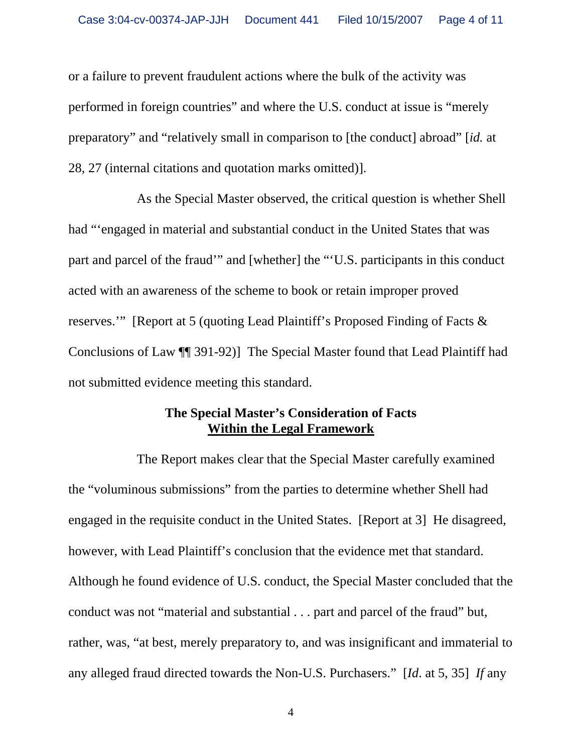or a failure to prevent fraudulent actions where the bulk of the activity was performed in foreign countries" and where the U.S. conduct at issue is "merely preparatory" and "relatively small in comparison to [the conduct] abroad" [*id.* at 28, 27 (internal citations and quotation marks omitted)].

As the Special Master observed, the critical question is whether Shell had "'engaged in material and substantial conduct in the United States that was part and parcel of the fraud'" and [whether] the "'U.S. participants in this conduct acted with an awareness of the scheme to book or retain improper proved reserves.'" [Report at 5 (quoting Lead Plaintiff's Proposed Finding of Facts & Conclusions of Law ¶¶ 391-92)] The Special Master found that Lead Plaintiff had not submitted evidence meeting this standard.

### **The Special Master's Consideration of Facts Within the Legal Framework**

The Report makes clear that the Special Master carefully examined the "voluminous submissions" from the parties to determine whether Shell had engaged in the requisite conduct in the United States. [Report at 3] He disagreed, however, with Lead Plaintiff's conclusion that the evidence met that standard. Although he found evidence of U.S. conduct, the Special Master concluded that the conduct was not "material and substantial . . . part and parcel of the fraud" but, rather, was, "at best, merely preparatory to, and was insignificant and immaterial to any alleged fraud directed towards the Non-U.S. Purchasers." [*Id*. at 5, 35] *If* any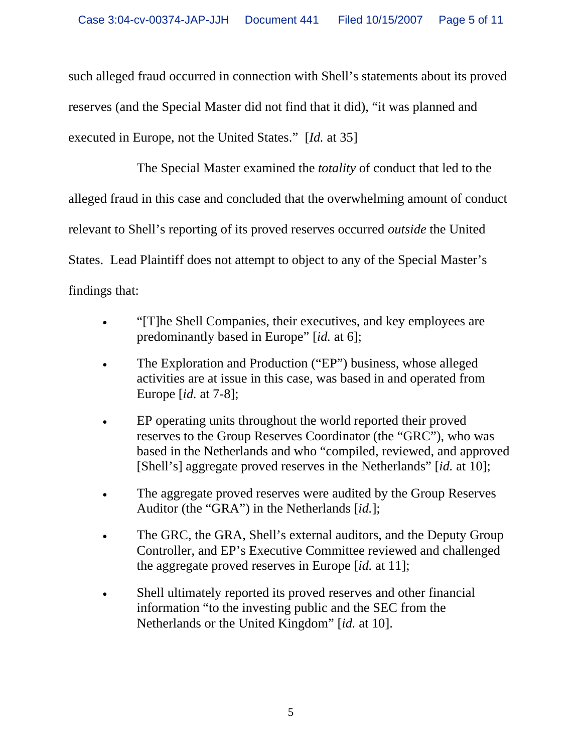such alleged fraud occurred in connection with Shell's statements about its proved reserves (and the Special Master did not find that it did), "it was planned and executed in Europe, not the United States." [*Id.* at 35]

The Special Master examined the *totality* of conduct that led to the alleged fraud in this case and concluded that the overwhelming amount of conduct relevant to Shell's reporting of its proved reserves occurred *outside* the United States. Lead Plaintiff does not attempt to object to any of the Special Master's findings that:

- "[T]he Shell Companies, their executives, and key employees are predominantly based in Europe" [*id.* at 6];
- The Exploration and Production ("EP") business, whose alleged activities are at issue in this case, was based in and operated from Europe [*id.* at 7-8];
- EP operating units throughout the world reported their proved reserves to the Group Reserves Coordinator (the "GRC"), who was based in the Netherlands and who "compiled, reviewed, and approved [Shell's] aggregate proved reserves in the Netherlands" [*id.* at 10];
- The aggregate proved reserves were audited by the Group Reserves Auditor (the "GRA") in the Netherlands [*id.*];
- The GRC, the GRA, Shell's external auditors, and the Deputy Group Controller, and EP's Executive Committee reviewed and challenged the aggregate proved reserves in Europe [*id.* at 11];
- Shell ultimately reported its proved reserves and other financial information "to the investing public and the SEC from the Netherlands or the United Kingdom" [*id.* at 10].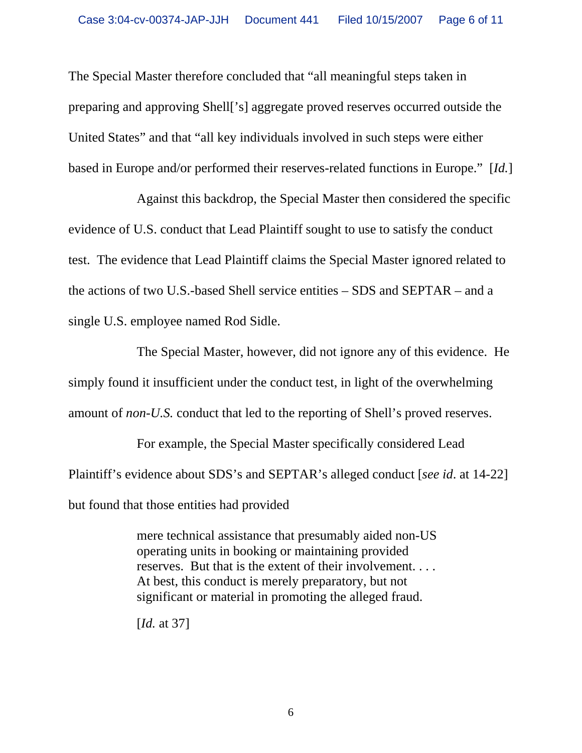The Special Master therefore concluded that "all meaningful steps taken in preparing and approving Shell['s] aggregate proved reserves occurred outside the United States" and that "all key individuals involved in such steps were either based in Europe and/or performed their reserves-related functions in Europe." [*Id.*]

Against this backdrop, the Special Master then considered the specific evidence of U.S. conduct that Lead Plaintiff sought to use to satisfy the conduct test. The evidence that Lead Plaintiff claims the Special Master ignored related to the actions of two U.S.-based Shell service entities – SDS and SEPTAR – and a single U.S. employee named Rod Sidle.

The Special Master, however, did not ignore any of this evidence. He simply found it insufficient under the conduct test, in light of the overwhelming amount of *non-U.S.* conduct that led to the reporting of Shell's proved reserves.

For example, the Special Master specifically considered Lead Plaintiff's evidence about SDS's and SEPTAR's alleged conduct [*see id*. at 14-22] but found that those entities had provided

> mere technical assistance that presumably aided non-US operating units in booking or maintaining provided reserves. But that is the extent of their involvement. . . . At best, this conduct is merely preparatory, but not significant or material in promoting the alleged fraud.

[*Id.* at 37]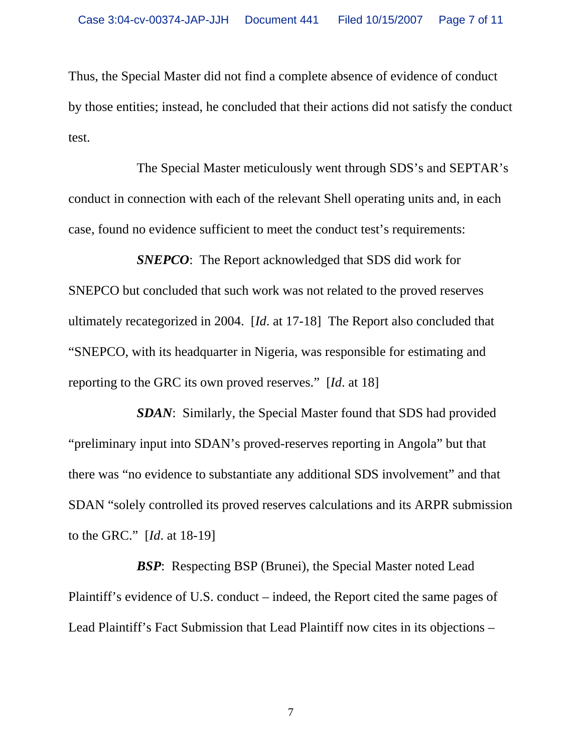Thus, the Special Master did not find a complete absence of evidence of conduct by those entities; instead, he concluded that their actions did not satisfy the conduct test.

The Special Master meticulously went through SDS's and SEPTAR's conduct in connection with each of the relevant Shell operating units and, in each case, found no evidence sufficient to meet the conduct test's requirements:

*SNEPCO*: The Report acknowledged that SDS did work for SNEPCO but concluded that such work was not related to the proved reserves ultimately recategorized in 2004. [*Id*. at 17-18] The Report also concluded that "SNEPCO, with its headquarter in Nigeria, was responsible for estimating and reporting to the GRC its own proved reserves." [*Id*. at 18]

*SDAN*: Similarly, the Special Master found that SDS had provided "preliminary input into SDAN's proved-reserves reporting in Angola" but that there was "no evidence to substantiate any additional SDS involvement" and that SDAN "solely controlled its proved reserves calculations and its ARPR submission to the GRC." [*Id*. at 18-19]

*BSP*: Respecting BSP (Brunei), the Special Master noted Lead Plaintiff's evidence of U.S. conduct – indeed, the Report cited the same pages of Lead Plaintiff's Fact Submission that Lead Plaintiff now cites in its objections –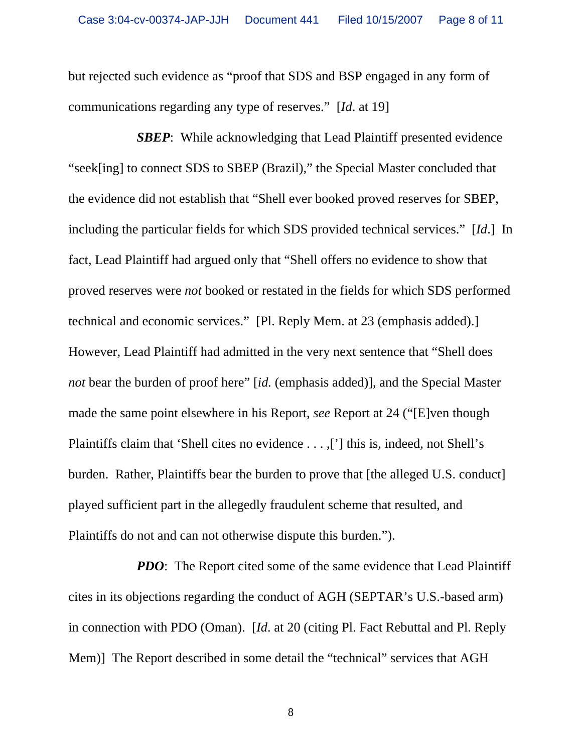but rejected such evidence as "proof that SDS and BSP engaged in any form of communications regarding any type of reserves." [*Id*. at 19]

*SBEP*: While acknowledging that Lead Plaintiff presented evidence "seek[ing] to connect SDS to SBEP (Brazil)," the Special Master concluded that the evidence did not establish that "Shell ever booked proved reserves for SBEP, including the particular fields for which SDS provided technical services." [*Id*.] In fact, Lead Plaintiff had argued only that "Shell offers no evidence to show that proved reserves were *not* booked or restated in the fields for which SDS performed technical and economic services." [Pl. Reply Mem. at 23 (emphasis added).] However, Lead Plaintiff had admitted in the very next sentence that "Shell does *not* bear the burden of proof here" [*id.* (emphasis added)], and the Special Master made the same point elsewhere in his Report, *see* Report at 24 ("[E]ven though Plaintiffs claim that 'Shell cites no evidence . . . ,['] this is, indeed, not Shell's burden. Rather, Plaintiffs bear the burden to prove that [the alleged U.S. conduct] played sufficient part in the allegedly fraudulent scheme that resulted, and Plaintiffs do not and can not otherwise dispute this burden.").

*PDO*: The Report cited some of the same evidence that Lead Plaintiff cites in its objections regarding the conduct of AGH (SEPTAR's U.S.-based arm) in connection with PDO (Oman). [*Id*. at 20 (citing Pl. Fact Rebuttal and Pl. Reply Mem)] The Report described in some detail the "technical" services that AGH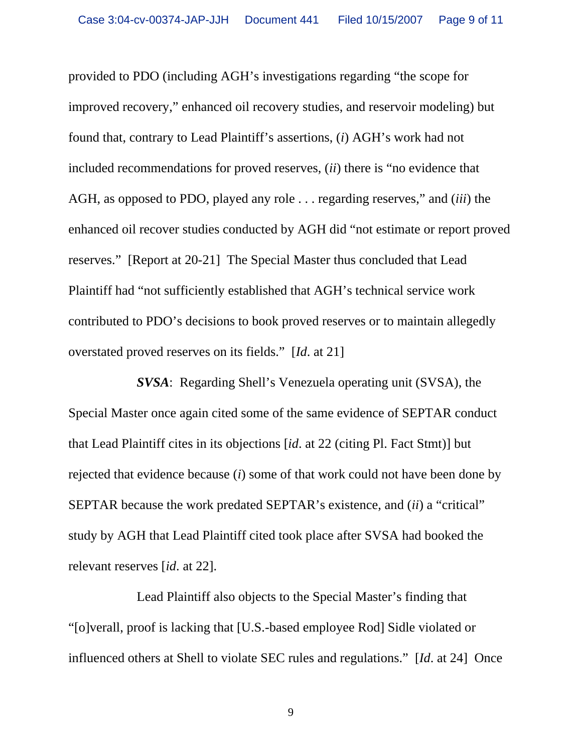provided to PDO (including AGH's investigations regarding "the scope for improved recovery," enhanced oil recovery studies, and reservoir modeling) but found that, contrary to Lead Plaintiff's assertions, (*i*) AGH's work had not included recommendations for proved reserves, (*ii*) there is "no evidence that AGH, as opposed to PDO, played any role . . . regarding reserves," and (*iii*) the enhanced oil recover studies conducted by AGH did "not estimate or report proved reserves." [Report at 20-21] The Special Master thus concluded that Lead Plaintiff had "not sufficiently established that AGH's technical service work contributed to PDO's decisions to book proved reserves or to maintain allegedly overstated proved reserves on its fields." [*Id*. at 21]

*SVSA*: Regarding Shell's Venezuela operating unit (SVSA), the Special Master once again cited some of the same evidence of SEPTAR conduct that Lead Plaintiff cites in its objections [*id*. at 22 (citing Pl. Fact Stmt)] but rejected that evidence because (*i*) some of that work could not have been done by SEPTAR because the work predated SEPTAR's existence, and (*ii*) a "critical" study by AGH that Lead Plaintiff cited took place after SVSA had booked the relevant reserves [*id*. at 22].

Lead Plaintiff also objects to the Special Master's finding that "[o]verall, proof is lacking that [U.S.-based employee Rod] Sidle violated or influenced others at Shell to violate SEC rules and regulations." [*Id*. at 24] Once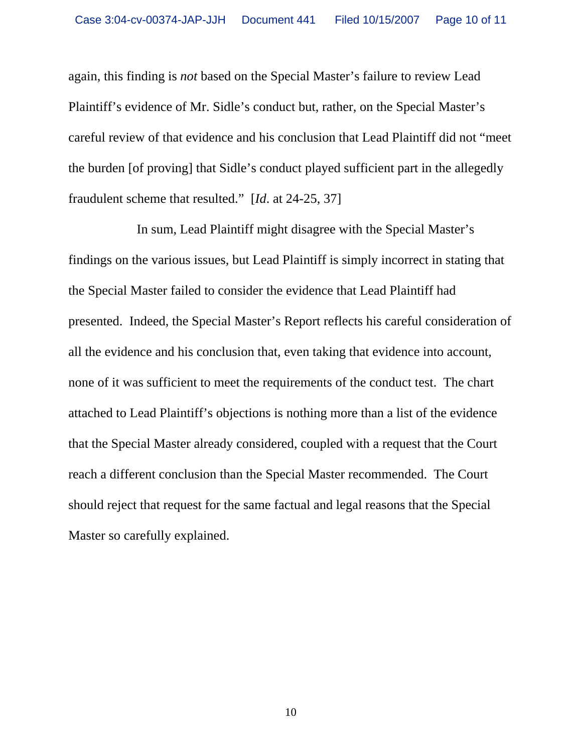again, this finding is *not* based on the Special Master's failure to review Lead Plaintiff's evidence of Mr. Sidle's conduct but, rather, on the Special Master's careful review of that evidence and his conclusion that Lead Plaintiff did not "meet the burden [of proving] that Sidle's conduct played sufficient part in the allegedly fraudulent scheme that resulted." [*Id*. at 24-25, 37]

In sum, Lead Plaintiff might disagree with the Special Master's findings on the various issues, but Lead Plaintiff is simply incorrect in stating that the Special Master failed to consider the evidence that Lead Plaintiff had presented. Indeed, the Special Master's Report reflects his careful consideration of all the evidence and his conclusion that, even taking that evidence into account, none of it was sufficient to meet the requirements of the conduct test. The chart attached to Lead Plaintiff's objections is nothing more than a list of the evidence that the Special Master already considered, coupled with a request that the Court reach a different conclusion than the Special Master recommended. The Court should reject that request for the same factual and legal reasons that the Special Master so carefully explained.